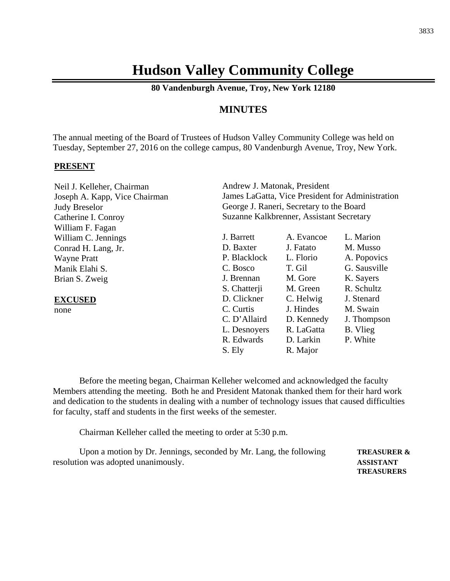## **Hudson Valley Community College**

**80 Vandenburgh Avenue, Troy, New York 12180**

## **MINUTES**

The annual meeting of the Board of Trustees of Hudson Valley Community College was held on Tuesday, September 27, 2016 on the college campus, 80 Vandenburgh Avenue, Troy, New York.

## **PRESENT**

| Neil J. Kelleher, Chairman    | Andrew J. Matonak, President                     |            |              |
|-------------------------------|--------------------------------------------------|------------|--------------|
| Joseph A. Kapp, Vice Chairman | James LaGatta, Vice President for Administration |            |              |
| <b>Judy Breselor</b>          | George J. Raneri, Secretary to the Board         |            |              |
| Catherine I. Conroy           | Suzanne Kalkbrenner, Assistant Secretary         |            |              |
| William F. Fagan              |                                                  |            |              |
| William C. Jennings           | J. Barrett                                       | A. Evancoe | L. Marion    |
| Conrad H. Lang, Jr.           | D. Baxter                                        | J. Fatato  | M. Musso     |
| <b>Wayne Pratt</b>            | P. Blacklock                                     | L. Florio  | A. Popovics  |
| Manik Elahi S.                | C. Bosco                                         | T. Gil     | G. Sausville |
| Brian S. Zweig                | J. Brennan                                       | M. Gore    | K. Sayers    |
|                               | S. Chatterji                                     | M. Green   | R. Schultz   |
| <b>EXCUSED</b>                | D. Clickner                                      | C. Helwig  | J. Stenard   |
| none                          | C. Curtis                                        | J. Hindes  | M. Swain     |
|                               | C. D'Allaird                                     | D. Kennedy | J. Thompson  |
|                               | L. Desnoyers                                     | R. LaGatta | B. Vlieg     |
|                               | R. Edwards                                       | D. Larkin  | P. White     |
|                               | S. Ely                                           | R. Major   |              |

Before the meeting began, Chairman Kelleher welcomed and acknowledged the faculty Members attending the meeting. Both he and President Matonak thanked them for their hard work and dedication to the students in dealing with a number of technology issues that caused difficulties for faculty, staff and students in the first weeks of the semester.

Chairman Kelleher called the meeting to order at 5:30 p.m.

Upon a motion by Dr. Jennings, seconded by Mr. Lang, the following **TREASURER &** resolution was adopted unanimously. **ASSISTANT TREASURERS**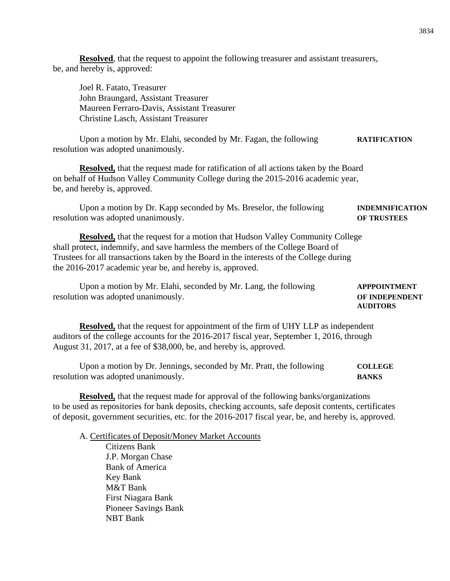**Resolved**, that the request to appoint the following treasurer and assistant treasurers, be, and hereby is, approved:

Joel R. Fatato, Treasurer John Braungard, Assistant Treasurer Maureen Ferraro-Davis, Assistant Treasurer Christine Lasch, Assistant Treasurer

Upon a motion by Mr. Elahi, seconded by Mr. Fagan, the following **RATIFICATION** resolution was adopted unanimously.

**Resolved,** that the request made for ratification of all actions taken by the Board on behalf of Hudson Valley Community College during the 2015-2016 academic year, be, and hereby is, approved.

Upon a motion by Dr. Kapp seconded by Ms. Breselor, the following **INDEMNIFICATION** resolution was adopted unanimously. **OF TRUSTEES**

**Resolved,** that the request for a motion that Hudson Valley Community College shall protect, indemnify, and save harmless the members of the College Board of Trustees for all transactions taken by the Board in the interests of the College during the 2016-2017 academic year be, and hereby is, approved.

Upon a motion by Mr. Elahi, seconded by Mr. Lang, the following **APPPOINTMENT** resolution was adopted unanimously. **OF INDEPENDENT**

## **AUDITORS**

**Resolved,** that the request for appointment of the firm of UHY LLP as independent auditors of the college accounts for the 2016-2017 fiscal year, September 1, 2016, through August 31, 2017, at a fee of \$38,000, be, and hereby is, approved.

Upon a motion by Dr. Jennings, seconded by Mr. Pratt, the following **COLLEGE** resolution was adopted unanimously. **BANKS**

**Resolved,** that the request made for approval of the following banks/organizations to be used as repositories for bank deposits, checking accounts, safe deposit contents, certificates of deposit, government securities, etc. for the 2016-2017 fiscal year, be, and hereby is, approved.

A. Certificates of Deposit/Money Market Accounts

Citizens Bank J.P. Morgan Chase Bank of America Key Bank M&T Bank First Niagara Bank Pioneer Savings Bank NBT Bank